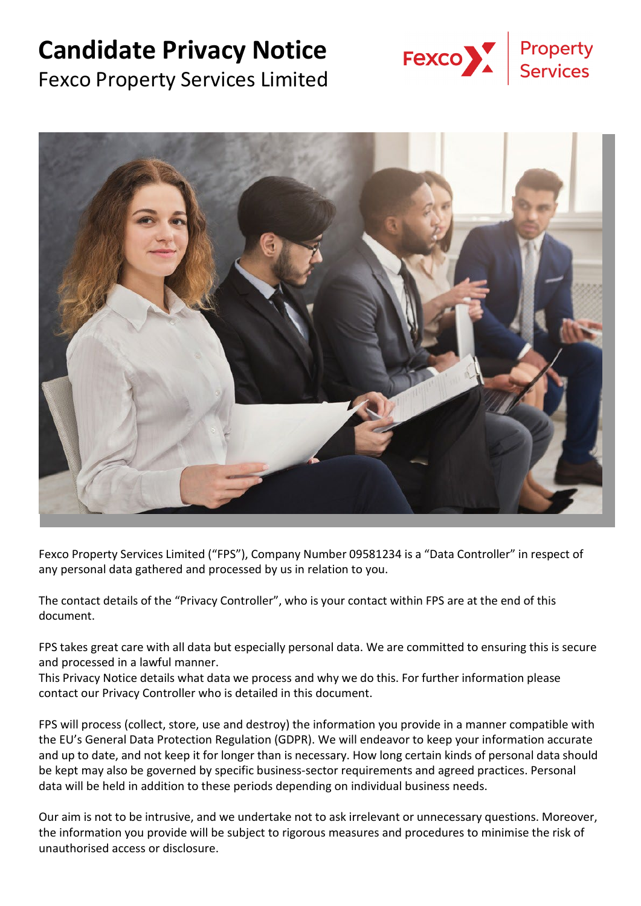# **Candidate Privacy Notice**







Fexco Property Services Limited ("FPS"), Company Number 09581234 is a "Data Controller" in respect of any personal data gathered and processed by us in relation to you.

The contact details of the "Privacy Controller", who is your contact within FPS are at the end of this document.

FPS takes great care with all data but especially personal data. We are committed to ensuring this is secure and processed in a lawful manner.

This Privacy Notice details what data we process and why we do this. For further information please contact our Privacy Controller who is detailed in this document.

FPS will process (collect, store, use and destroy) the information you provide in a manner compatible with the EU's General Data Protection Regulation (GDPR). We will endeavor to keep your information accurate and up to date, and not keep it for longer than is necessary. How long certain kinds of personal data should be kept may also be governed by specific business-sector requirements and agreed practices. Personal data will be held in addition to these periods depending on individual business needs.

Our aim is not to be intrusive, and we undertake not to ask irrelevant or unnecessary questions. Moreover, the information you provide will be subject to rigorous measures and procedures to minimise the risk of unauthorised access or disclosure.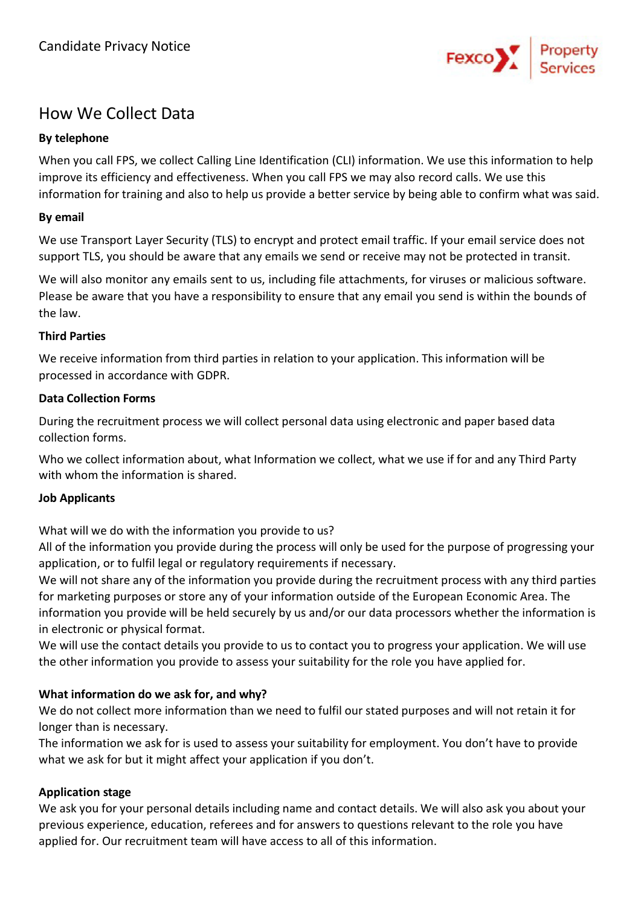

# How We Collect Data

## **By telephone**

When you call FPS, we collect Calling Line Identification (CLI) information. We use this information to help improve its efficiency and effectiveness. When you call FPS we may also record calls. We use this information for training and also to help us provide a better service by being able to confirm what was said.

## **By email**

We use Transport Layer Security (TLS) to encrypt and protect email traffic. If your email service does not support TLS, you should be aware that any emails we send or receive may not be protected in transit.

We will also monitor any emails sent to us, including file attachments, for viruses or malicious software. Please be aware that you have a responsibility to ensure that any email you send is within the bounds of the law.

#### **Third Parties**

We receive information from third parties in relation to your application. This information will be processed in accordance with GDPR.

## **Data Collection Forms**

During the recruitment process we will collect personal data using electronic and paper based data collection forms.

Who we collect information about, what Information we collect, what we use if for and any Third Party with whom the information is shared.

#### **Job Applicants**

What will we do with the information you provide to us?

All of the information you provide during the process will only be used for the purpose of progressing your application, or to fulfil legal or regulatory requirements if necessary.

We will not share any of the information you provide during the recruitment process with any third parties for marketing purposes or store any of your information outside of the European Economic Area. The information you provide will be held securely by us and/or our data processors whether the information is in electronic or physical format.

We will use the contact details you provide to us to contact you to progress your application. We will use the other information you provide to assess your suitability for the role you have applied for.

# **What information do we ask for, and why?**

We do not collect more information than we need to fulfil our stated purposes and will not retain it for longer than is necessary.

The information we ask for is used to assess your suitability for employment. You don't have to provide what we ask for but it might affect your application if you don't.

# **Application stage**

We ask you for your personal details including name and contact details. We will also ask you about your previous experience, education, referees and for answers to questions relevant to the role you have applied for. Our recruitment team will have access to all of this information.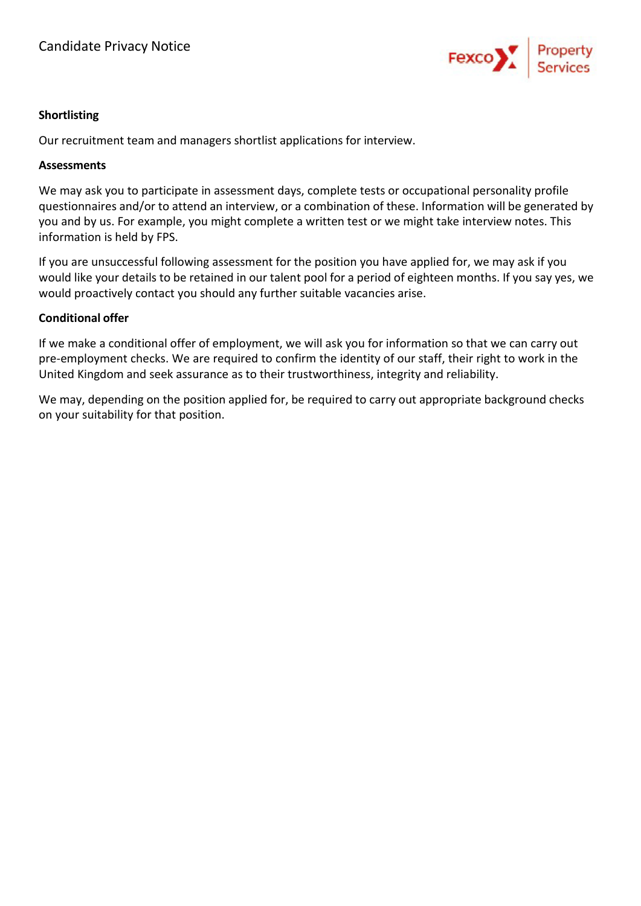

#### **Shortlisting**

Our recruitment team and managers shortlist applications for interview.

#### **Assessments**

We may ask you to participate in assessment days, complete tests or occupational personality profile questionnaires and/or to attend an interview, or a combination of these. Information will be generated by you and by us. For example, you might complete a written test or we might take interview notes. This information is held by FPS.

If you are unsuccessful following assessment for the position you have applied for, we may ask if you would like your details to be retained in our talent pool for a period of eighteen months. If you say yes, we would proactively contact you should any further suitable vacancies arise.

#### **Conditional offer**

If we make a conditional offer of employment, we will ask you for information so that we can carry out pre-employment checks. We are required to confirm the identity of our staff, their right to work in the United Kingdom and seek assurance as to their trustworthiness, integrity and reliability.

We may, depending on the position applied for, be required to carry out appropriate background checks on your suitability for that position.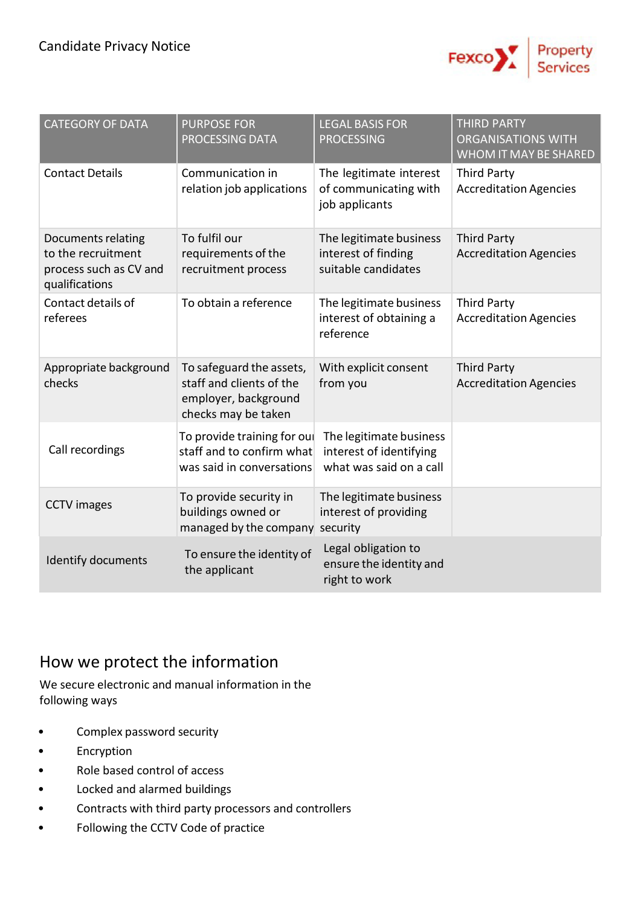

| <b>CATEGORY OF DATA</b>                                                              | <b>PURPOSE FOR</b><br><b>PROCESSING DATA</b>                                                        | <b>LEGAL BASIS FOR</b><br><b>PROCESSING</b>                                   | <b>THIRD PARTY</b><br><b>ORGANISATIONS WITH</b><br>WHOM IT MAY BE SHARED |
|--------------------------------------------------------------------------------------|-----------------------------------------------------------------------------------------------------|-------------------------------------------------------------------------------|--------------------------------------------------------------------------|
| <b>Contact Details</b>                                                               | Communication in<br>relation job applications                                                       | The legitimate interest<br>of communicating with<br>job applicants            | <b>Third Party</b><br><b>Accreditation Agencies</b>                      |
| Documents relating<br>to the recruitment<br>process such as CV and<br>qualifications | To fulfil our<br>requirements of the<br>recruitment process                                         | The legitimate business<br>interest of finding<br>suitable candidates         | <b>Third Party</b><br><b>Accreditation Agencies</b>                      |
| Contact details of<br>referees                                                       | To obtain a reference                                                                               | The legitimate business<br>interest of obtaining a<br>reference               | <b>Third Party</b><br><b>Accreditation Agencies</b>                      |
| Appropriate background<br>checks                                                     | To safeguard the assets,<br>staff and clients of the<br>employer, background<br>checks may be taken | With explicit consent<br>from you                                             | <b>Third Party</b><br><b>Accreditation Agencies</b>                      |
| Call recordings                                                                      | To provide training for oul<br>staff and to confirm what<br>was said in conversations               | The legitimate business<br>interest of identifying<br>what was said on a call |                                                                          |
| <b>CCTV</b> images                                                                   | To provide security in<br>buildings owned or<br>managed by the company security                     | The legitimate business<br>interest of providing                              |                                                                          |
| <b>Identify documents</b>                                                            | To ensure the identity of<br>the applicant                                                          | Legal obligation to<br>ensure the identity and<br>right to work               |                                                                          |

# How we protect the information

We secure electronic and manual information in the following ways

- Complex password security
- **Encryption**
- Role based control of access
- Locked and alarmed buildings
- Contracts with third party processors and controllers
- Following the CCTV Code of practice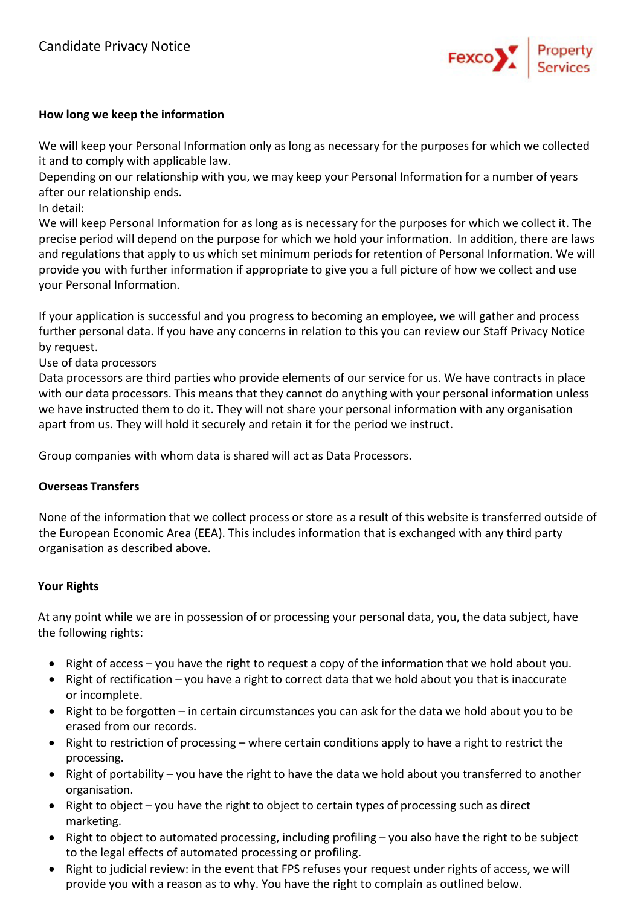

#### **How long we keep the information**

We will keep your Personal Information only as long as necessary for the purposes for which we collected it and to comply with applicable law.

Depending on our relationship with you, we may keep your Personal Information for a number of years after our relationship ends.

In detail:

We will keep Personal Information for as long as is necessary for the purposes for which we collect it. The precise period will depend on the purpose for which we hold your information. In addition, there are laws and regulations that apply to us which set minimum periods for retention of Personal Information. We will provide you with further information if appropriate to give you a full picture of how we collect and use your Personal Information.

If your application is successful and you progress to becoming an employee, we will gather and process further personal data. If you have any concerns in relation to this you can review our Staff Privacy Notice by request.

Use of data processors

Data processors are third parties who provide elements of our service for us. We have contracts in place with our data processors. This means that they cannot do anything with your personal information unless we have instructed them to do it. They will not share your personal information with any organisation apart from us. They will hold it securely and retain it for the period we instruct.

Group companies with whom data is shared will act as Data Processors.

#### **Overseas Transfers**

None of the information that we collect process or store as a result of this website is transferred outside of the European Economic Area (EEA). This includes information that is exchanged with any third party organisation as described above.

#### **Your Rights**

At any point while we are in possession of or processing your personal data, you, the data subject, have the following rights:

- Right of access you have the right to request a copy of the information that we hold about you.
- Right of rectification you have a right to correct data that we hold about you that is inaccurate or incomplete.
- Right to be forgotten in certain circumstances you can ask for the data we hold about you to be erased from our records.
- Right to restriction of processing where certain conditions apply to have a right to restrict the processing.
- Right of portability you have the right to have the data we hold about you transferred to another organisation.
- Right to object you have the right to object to certain types of processing such as direct marketing.
- Right to object to automated processing, including profiling you also have the right to be subject to the legal effects of automated processing or profiling.
- Right to judicial review: in the event that FPS refuses your request under rights of access, we will provide you with a reason as to why. You have the right to complain as outlined below.